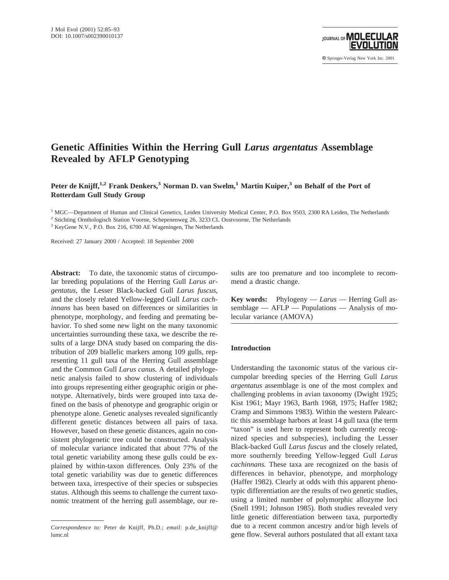

© Springer-Verlag New York Inc. 2001

# **Genetic Affinities Within the Herring Gull** *Larus argentatus* **Assemblage Revealed by AFLP Genotyping**

Peter de Knijff,<sup>1,2</sup> Frank Denkers,<sup>3</sup> Norman D. van Swelm,<sup>1</sup> Martin Kuiper,<sup>3</sup> on Behalf of the Port of **Rotterdam Gull Study Group**

<sup>1</sup> MGC—Department of Human and Clinical Genetics, Leiden University Medical Center, P.O. Box 9503, 2300 RA Leiden, The Netherlands

<sup>2</sup> Stichting Ornthologisch Station Voorne, Schepenenweg 26, 3233 CL Oostvoorne, The Netherlands

<sup>3</sup> KeyGene N.V., P.O. Box 216, 6700 AE Wageningen, The Netherlands

Received: 27 January 2000 / Accepted: 18 September 2000

**Abstract:** To date, the taxonomic status of circumpolar breeding populations of the Herring Gull *Larus argentatus,* the Lesser Black-backed Gull *Larus fuscus,* and the closely related Yellow-legged Gull *Larus cachinnans* has been based on differences or similarities in phenotype, morphology, and feeding and premating behavior. To shed some new light on the many taxonomic uncertainties surrounding these taxa, we describe the results of a large DNA study based on comparing the distribution of 209 biallelic markers among 109 gulls, representing 11 gull taxa of the Herring Gull assemblage and the Common Gull *Larus canus.* A detailed phylogenetic analysis failed to show clustering of individuals into groups representing either geographic origin or phenotype. Alternatively, birds were grouped into taxa defined on the basis of phenotype and geographic origin or phenotype alone. Genetic analyses revealed significantly different genetic distances between all pairs of taxa. However, based on these genetic distances, again no consistent phylogenetic tree could be constructed. Analysis of molecular variance indicated that about 77% of the total genetic variability among these gulls could be explained by within-taxon differences. Only 23% of the total genetic variability was due to genetic differences between taxa, irrespective of their species or subspecies status. Although this seems to challenge the current taxonomic treatment of the herring gull assemblage, our results are too premature and too incomplete to recommend a drastic change.

**Key words:** Phylogeny — *Larus* — Herring Gull assemblage — AFLP — Populations — Analysis of molecular variance (AMOVA)

# **Introduction**

Understanding the taxonomic status of the various circumpolar breeding species of the Herring Gull *Larus argentatus* assemblage is one of the most complex and challenging problems in avian taxonomy (Dwight 1925; Kist 1961; Mayr 1963, Barth 1968, 1975; Haffer 1982; Cramp and Simmons 1983). Within the western Palearctic this assemblage harbors at least 14 gull taxa (the term "taxon" is used here to represent both currently recognized species and subspecies), including the Lesser Black-backed Gull *Larus fuscus* and the closely related, more southernly breeding Yellow-legged Gull *Larus cachinnans.* These taxa are recognized on the basis of differences in behavior, phenotype, and morphology (Haffer 1982). Clearly at odds with this apparent phenotypic differentiation are the results of two genetic studies, using a limited number of polymorphic allozyme loci (Snell 1991; Johnson 1985). Both studies revealed very little genetic differentiation between taxa, purportedly due to a recent common ancestry and/or high levels of gene flow. Several authors postulated that all extant taxa

*Correspondence to:* Peter de Knijff, Ph.D.; *email:* p.de\_knijff@ lumc.nl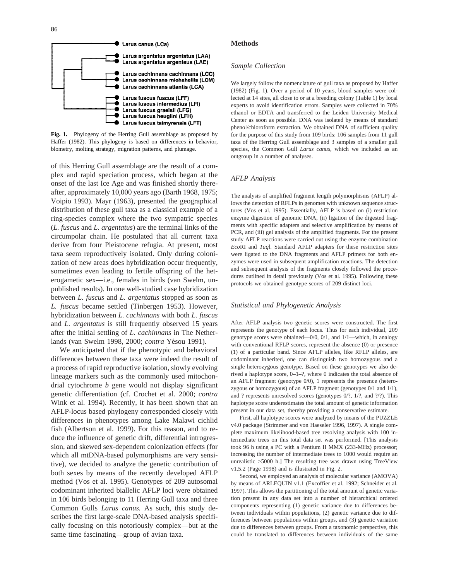

**Fig. 1.** Phylogeny of the Herring Gull assemblage as proposed by Haffer (1982). This phylogeny is based on differences in behavior, blometry, molting strategy, migration patterns, and plumage.

of this Herring Gull assemblage are the result of a complex and rapid speciation process, which began at the onset of the last Ice Age and was finished shortly thereafter, approximately 10,000 years ago (Barth 1968, 1975; Voipio 1993). Mayr (1963), presented the geographical distribution of these gull taxa as a classical example of a ring-species complex where the two sympatric species (*L. fuscus* and *L. argentatus*) are the terminal links of the circumpolar chain. He postulated that all current taxa derive from four Pleistocene refugia. At present, most taxa seem reproductively isolated. Only during colonization of new areas does hybridization occur frequently, sometimes even leading to fertile offspring of the heterogametic sex—i.e., females in birds (van Swelm, unpublished results). In one well-studied case hybridization between *L. fuscus* and *L. argentatus* stopped as soon as *L. fuscus* became settled (Tinbergen 1953). However, hybridization between *L. cachinnans* with both *L. fuscus* and *L. argentatus* is still frequently observed 15 years after the initial settling of *L. cachinnans* in The Netherlands (van Swelm 1998, 2000; *contra* Yésou 1991).

We anticipated that if the phenotypic and behavioral differences between these taxa were indeed the result of a process of rapid reproductive isolation, slowly evolving lineage markers such as the commonly used mitochondrial cytochrome *b* gene would not display significant genetic differentiation (cf. Crochet et al. 2000; *contra* Wink et al. 1994). Recently, it has been shown that an AFLP-locus based phylogeny corresponded closely with differences in phenotypes among Lake Malawi cichlid fish (Albertson et al. 1999). For this reason, and to reduce the influence of genetic drift, differential introgression, and skewed sex-dependent colonization effects (for which all mtDNA-based polymorphisms are very sensitive), we decided to analyze the genetic contribution of both sexes by means of the recently developed AFLP method (Vos et al. 1995). Genotypes of 209 autosomal codominant inherited biallelic AFLP loci were obtained in 106 birds belonging to 11 Herring Gull taxa and three Common Gulls *Larus canus.* As such, this study describes the first large-scale DNA-based analysis specifically focusing on this notoriously complex—but at the same time fascinating—group of avian taxa.

## **Methods**

## *Sample Collection*

We largely follow the nomenclature of gull taxa as proposed by Haffer (1982) (Fig. 1). Over a period of 10 years, blood samples were collected at 14 sites, all close to or at a breeding colony (Table 1) by local experts to avoid identification errors. Samples were collected in 70% ethanol or EDTA and transferred to the Leiden University Medical Center as soon as possible. DNA was isolated by means of standard phenol/chloroform extraction. We obtained DNA of sufficient quality for the purpose of this study from 109 birds: 106 samples from 11 gull taxa of the Herring Gull assemblage and 3 samples of a smaller gull species, the Common Gull *Larus canus,* which we included as an outgroup in a number of analyses.

## *AFLP Analysis*

The analysis of amplified fragment length polymorphisms (AFLP) allows the detection of RFLPs in genomes with unknown sequence structures (Vos et al. 1995). Essentially, AFLP is based on (i) restriction enzyme digestion of genomic DNA, (ii) ligation of the digested fragments with specific adapters and selective amplification by means of PCR, and (iii) gel analysis of the amplified fragments. For the present study AFLP reactions were carried out using the enzyme combination *Eco*RI and *Taq*l. Standard AFLP adapters for these restriction sites were ligated to the DNA fragments and AFLP primers for both enzymes were used in subsequent amplification reactions. The detection and subsequent analysis of the fragments closely followed the procedures outlined in detail previously (Vos et al. 1995). Following these protocols we obtained genotype scores of 209 distinct loci.

## *Statistical and Phylogenetic Analysis*

After AFLP analysis two genetic scores were constructed. The first represents the genotype of each locus. Thus for each individual, 209 genotype scores were obtained—0/0, 0/1, and 1/1—which, in analogy with conventional RFLP scores, represent the absence (0) or presence (1) of a particular band. Since AFLP alleles, like RFLP alleles, are codominant inherited, one can distinguish two homozygous and a single heterozygous genotype. Based on these genotypes we also derived a haplotype score, 0–1–?, where 0 indicates the total absence of an AFLP fragment (genotype 0/0), 1 represents the presence (heterozygous or homozygous) of an AFLP fragment (genotypes 0/1 and 1/1), and ? represents unresolved scores (genotypes 0/?, 1/?, and ?/?). This haplotype score underestimates the total amount of genetic information present in our data set, thereby providing a conservative estimate.

First, all haplotype scores were analyzed by means of the PUZZLE v4.0 package (Strimmer and von Haeseler 1996, 1997). A single complete maximum likelihood-based tree resolving analysis with 100 intermediate trees on this total data set was performed. [This analysis took 96 h using a PC with a Pentium II MMX (233-MHz) processor; increasing the number of intermediate trees to 1000 would require an unrealistic >5000 h.] The resulting tree was drawn using TreeView v1.5.2 (Page 1998) and is illustrated in Fig. 2.

Second, we employed an analysis of molecular variance (AMOVA) by means of ARLEQUIN v1.1 (Excoffier et al. 1992; Schneider et al. 1997). This allows the partitioning of the total amount of genetic variation present in any data set into a number of hierarchical ordered components representing (1) genetic variance due to differences between individuals within populations, (2) genetic variance due to differences between populations within groups, and (3) genetic variation due to differences between groups. From a taxonomic perspective, this could be translated to differences between individuals of the same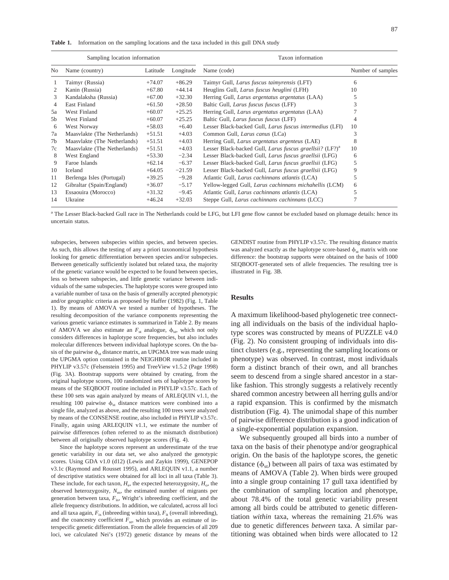**Table 1.** Information on the sampling locations and the taxa included in this gull DNA study

| Sampling location information |                              |          |           | Taxon information                                                    |                   |  |  |
|-------------------------------|------------------------------|----------|-----------|----------------------------------------------------------------------|-------------------|--|--|
| Name (country)<br>No          |                              | Latitude | Longitude | Name (code)                                                          | Number of samples |  |  |
|                               | Taimyr (Russia)              | $+74.07$ | $+86.29$  | Taimyr Gull, Larus fuscus taimyrensis (LFT)                          | 6                 |  |  |
| 2                             | Kanin (Russia)               | $+67.80$ | $+44.14$  | Heuglins Gull, Larus fuscus heuglini (LFH)                           | 10                |  |  |
| 3                             | Kandalaksha (Russia)         | $+67.00$ | $+32.30$  | Herring Gull, Larus argentatus argentatus (LAA)                      |                   |  |  |
| 4                             | East Finland                 | $+61.50$ | $+28.50$  | Baltic Gull, Larus fuscus fuscus (LFF)                               |                   |  |  |
| 5a                            | West Finland                 | $+60.07$ | $+25.25$  | Herring Gull, Larus argentatus argentatus (LAA)                      |                   |  |  |
| 5b                            | West Finland                 | $+60.07$ | $+25.25$  | Baltic Gull, Larus fuscus fuscus (LFF)                               |                   |  |  |
| 6                             | West Norway                  | $+58.03$ | $+6.40$   | Lesser Black-backed Gull, Larus fuscus intermedius (LFI)             | 10                |  |  |
| 7a                            | Maasvlakte (The Netherlands) | $+51.51$ | $+4.03$   | Common Gull, Larus canus (LCa)                                       | 3                 |  |  |
| 7b                            | Maasvlakte (The Netherlands) | $+51.51$ | $+4.03$   | Herring Gull, Larus argentatus argenteus (LAE)                       | 8                 |  |  |
| 7c                            | Maasvlakte (The Netherlands) | $+51.51$ | $+4.03$   | Lesser Black-backed Gull, Larus fuscus graellsii? (LF?) <sup>a</sup> | 10                |  |  |
| 8                             | West England                 | $+53.30$ | $-2.34$   | Lesser Black-backed Gull, Larus fuscus graellsii (LFG)               | 6                 |  |  |
| 9                             | Faroe Islands                | $+62.14$ | $-6.37$   | Lesser Black-backed Gull, Larus fuscus graellsii (LFG)               | 5                 |  |  |
| 10                            | Iceland                      | $+64.05$ | $-21.59$  | Lesser Black-backed Gull, Larus fuscus graellsii (LFG)               | 9                 |  |  |
| 11                            | Berlenga Isles (Portugal)    | $+39.25$ | $-9.28$   | Atlantic Gull, Larus cachinnans atlantis (LCA)                       | 5                 |  |  |
| 12                            | Gibraltar (Spain/England)    | $+36.07$ | $-5.17$   | Yellow-legged Gull, Larus cachinnans michahellis (LCM)               | 6                 |  |  |
| 13                            | Essaouira (Morocco)          | $+31.32$ | $-9.45$   | Atlantic Gull, Larus cachinnans atlantis (LCA)                       | 5                 |  |  |
| 14                            | Ukraine                      | $+46.24$ | $+32.03$  | Steppe Gull, Larus cachinnans cachinnans (LCC)                       |                   |  |  |

<sup>a</sup> The Lesser Black-backed Gull race in The Netherlands could be LFG, but LFI gene flow cannot be excluded based on plumage details: hence its uncertain status.

subspecies, between subspecies within species, and between species. As such, this allows the testing of any a priori taxonomical hypothesis looking for genetic differentiation between species and/or subspecies. Between genetically sufficiently isolated but related taxa, the majority of the genetic variance would be expected to be found between species, less so between subspecies, and little genetic variance between individuals of the same subspecies. The haplotype scores were grouped into a variable number of taxa on the basis of generally accepted phenotypic and/or geographic criteria as proposed by Haffer (1982) (Fig. 1, Table 1). By means of AMOVA we tested a number of hypotheses. The resulting decomposition of the variance components representing the various genetic variance estimates is summarized in Table 2. By means of AMOVA we also estimate an  $F_{st}$  analogue,  $\phi_{st}$ , which not only considers differences in haplotype score frequencies, but also includes molecular differences between individual haplotype scores. On the basis of the pairwise  $\phi_{st}$  distance matrix, an UPGMA tree was made using the UPGMA option contained in the NEIGHBOR routine included in PHYLIP v3.57c (Felsenstein 1995) and TreeView v1.5.2 (Page 1998) (Fig. 3A). Bootstrap supports were obtained by creating, from the original haplotype scores, 100 randomized sets of haplotype scores by means of the SEQBOOT routine included in PHYLIP v3.57c. Each of these 100 sets was again analyzed by means of ARLEQUIN v1.1, the resulting 100 pairwise  $\phi_{st}$  distance matrices were combined into a single file, analyzed as above, and the resulting 100 trees were analyzed by means of the CONSENSE routine, also included in PHYLIP v3.57c. Finally, again using ARLEQUIN v1.1, we estimate the number of pairwise differences (often referred to as the mismatch distribution) between all originally observed haplotype scores (Fig. 4).

Since the haplotype scores represent an underestimate of the true genetic variability in our data set, we also analyzed the genotypic scores. Using GDA v1.0 (d12) (Lewis and Zaykin 1999), GENEPOP v3.1c (Raymond and Rousset 1995), and ARLEQUIN v1.1, a number of descriptive statistics were obtained for all loci in all taxa (Table 3). These include, for each taxon,  $H_e$ , the expected heterozygosity,  $H_o$ , the observed heterozygosity,  $N<sub>m</sub>$ , the estimated number of migrants per generation between taxa,  $F_{is}$ , Wright's inbreeding coefficient, and the allele frequency distributions. In addition, we calculated, across all loci and all taxa again,  $F_{iS}$  (independing within taxa),  $F_{iI}$  (overall independing), and the coancestry coefficient  $F_{st}$ , which provides an estimate of interspecific genetic differentiation. From the allele frequencies of all 209 loci, we calculated Nei's (1972) genetic distance by means of the

GENDIST routine from PHYLIP v3.57c. The resulting distance matrix was analyzed exactly as the haplotype score-based  $\phi_{st}$  matrix with one difference: the bootstrap supports were obtained on the basis of 1000 SEQBOOT-generated sets of allele frequencies. The resulting tree is illustrated in Fig. 3B.

## **Results**

A maximum likelihood-based phylogenetic tree connecting all individuals on the basis of the individual haplotype scores was constructed by means of PUZZLE v4.0 (Fig. 2). No consistent grouping of individuals into distinct clusters (e.g., representing the sampling locations or phenotype) was observed. In contrast, most individuals form a distinct branch of their own, and all branches seem to descend from a single shared ancestor in a starlike fashion. This strongly suggests a relatively recently shared common ancestry between all herring gulls and/or a rapid expansion. This is confirmed by the mismatch distribution (Fig. 4). The unimodal shape of this number of pairwise difference distribution is a good indication of a single-exponential population expansion.

We subsequently grouped all birds into a number of taxa on the basis of their phenotype and/or geographical origin. On the basis of the haplotype scores, the genetic distance  $(\phi_{st})$  between all pairs of taxa was estimated by means of AMOVA (Table 2). When birds were grouped into a single group containing 17 gull taxa identified by the combination of sampling location and phenotype, about 78.4% of the total genetic variability present among all birds could be attributed to genetic differentiation *within* taxa, whereas the remaining 21.6% was due to genetic differences *between* taxa. A similar partitioning was obtained when birds were allocated to 12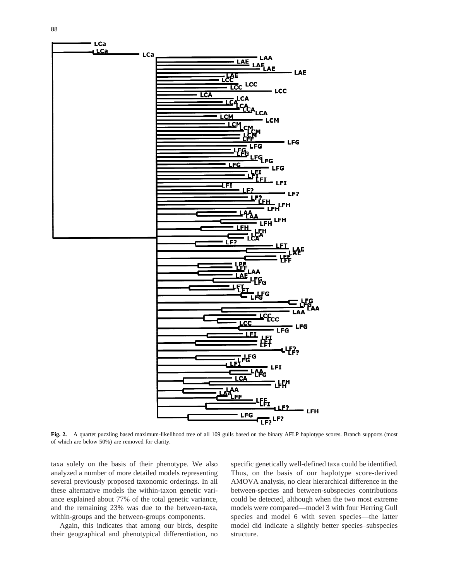



**Fig. 2.** A quartet puzzling based maximum-likelihood tree of all 109 gulls based on the binary AFLP haplotype scores. Branch supports (most of which are below 50%) are removed for clarity.

taxa solely on the basis of their phenotype. We also analyzed a number of more detailed models representing several previously proposed taxonomic orderings. In all these alternative models the within-taxon genetic variance explained about 77% of the total genetic variance, and the remaining 23% was due to the between-taxa, within-groups and the between-groups components.

Again, this indicates that among our birds, despite their geographical and phenotypical differentiation, no

specific genetically well-defined taxa could be identified. Thus, on the basis of our haplotype score-derived AMOVA analysis, no clear hierarchical difference in the between-species and between-subspecies contributions could be detected, although when the two most extreme models were compared—model 3 with four Herring Gull species and model 6 with seven species—the latter model did indicate a slightly better species–subspecies structure.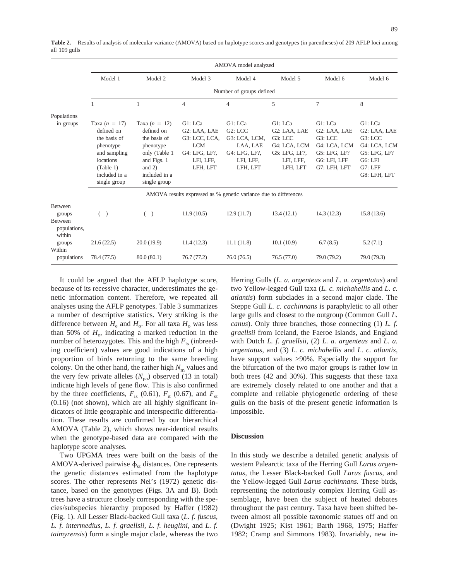|                                   | AMOVA model analyzed                                             |                 |                           |               |                           |                           |                           |  |  |  |
|-----------------------------------|------------------------------------------------------------------|-----------------|---------------------------|---------------|---------------------------|---------------------------|---------------------------|--|--|--|
|                                   | Model 1                                                          | Model 2         | Model 3                   | Model 4       | Model 5                   | Model 6                   | Model 6                   |  |  |  |
|                                   | Number of groups defined                                         |                 |                           |               |                           |                           |                           |  |  |  |
|                                   |                                                                  |                 | $\overline{4}$            | 4             | 5                         | 7                         | 8                         |  |  |  |
| Populations                       |                                                                  |                 |                           |               |                           |                           |                           |  |  |  |
| in groups                         | Taxa $(n = 17)$                                                  | Taxa $(n = 12)$ | G1: LCa                   | G1: LCa       | G1: LCa                   | G1: LCa                   | G1: LCa                   |  |  |  |
|                                   | defined on                                                       | defined on      | G <sub>2</sub> : LAA, LAE | G2: LCC       | G <sub>2</sub> : LAA, LAE | G <sub>2</sub> : LAA, LAE | G <sub>2</sub> : LAA, LAE |  |  |  |
|                                   | the basis of                                                     | the basis of    | G3: LCC, LCA,             | G3: LCA, LCM, | G3: LCC                   | G3: LCC                   | G3: LCC                   |  |  |  |
|                                   | phenotype                                                        | phenotype       | <b>LCM</b>                | LAA, LAE      | G4: LCA, LCM              | G4: LCA, LCM              | G4: LCA, LCM              |  |  |  |
|                                   | and sampling                                                     | only (Table 1   | G4: LFG, LF?,             | G4: LFG, LF?, | G5: LFG, LF?,             | G5: LFG, LF?              | G5: LFG, LF?              |  |  |  |
|                                   | locations                                                        | and Figs. 1     | LFI, LFF,                 | LFI, LFF,     | LFI, LFF,                 | G6: LFI, LFF              | G6: LFI                   |  |  |  |
|                                   | (Table 1)                                                        | and $2)$        | LFH, LFT                  | LFH, LFT      | LFH, LFT                  | G7: LFH, LFT              | G7: LFF                   |  |  |  |
|                                   | included in a                                                    | included in a   |                           |               |                           |                           | G8: LFH, LFT              |  |  |  |
|                                   | single group                                                     | single group    |                           |               |                           |                           |                           |  |  |  |
|                                   | AMOVA results expressed as % genetic variance due to differences |                 |                           |               |                           |                           |                           |  |  |  |
| Between                           |                                                                  |                 |                           |               |                           |                           |                           |  |  |  |
| groups                            | $-(-)$                                                           | $-(-)$          | 11.9(10.5)                | 12.9(11.7)    | 13.4(12.1)                | 14.3(12.3)                | 15.8 (13.6)               |  |  |  |
| Between<br>populations,<br>within |                                                                  |                 |                           |               |                           |                           |                           |  |  |  |
| groups                            | 21.6(22.5)                                                       | 20.0(19.9)      | 11.4(12.3)                | 11.1(11.8)    | 10.1(10.9)                | 6.7(8.5)                  | 5.2(7.1)                  |  |  |  |
| Within                            |                                                                  |                 |                           |               |                           |                           |                           |  |  |  |
| populations                       | 78.4 (77.5)                                                      | 80.0 (80.1)     | 76.7 (77.2)               | 76.0 (76.5)   | 76.5(77.0)                | 79.0 (79.2)               | 79.0 (79.3)               |  |  |  |

**Table 2.** Results of analysis of molecular variance (AMOVA) based on haplotype scores and genotypes (in parentheses) of 209 AFLP loci among all 109 gulls

It could be argued that the AFLP haplotype score, because of its recessive character, underestimates the genetic information content. Therefore, we repeated all analyses using the AFLP genotypes. Table 3 summarizes a number of descriptive statistics. Very striking is the difference between  $H_e$  and  $H_o$ . For all taxa  $H_o$  was less than 50% of  $H_e$ , indicating a marked reduction in the number of heterozygotes. This and the high  $F_i$  (inbreeding coefficient) values are good indications of a high proportion of birds returning to the same breeding colony. On the other hand, the rather high  $N<sub>m</sub>$  values and the very few private alleles  $(N_{pa})$  observed (13 in total) indicate high levels of gene flow. This is also confirmed by the three coefficients,  $F_{\text{is}}$  (0.61),  $F_{\text{it}}$  (0.67), and  $F_{\text{st}}$ (0.16) (not shown), which are all highly significant indicators of little geographic and interspecific differentiation. These results are confirmed by our hierarchical AMOVA (Table 2), which shows near-identical results when the genotype-based data are compared with the haplotype score analyses.

Two UPGMA trees were built on the basis of the AMOVA-derived pairwise  $\phi_{st}$  distances. One represents the genetic distances estimated from the haplotype scores. The other represents Nei's (1972) genetic distance, based on the genotypes (Figs. 3A and B). Both trees have a structure closely corresponding with the species/subspecies hierarchy proposed by Haffer (1982) (Fig. 1). All Lesser Black-backed Gull taxa (*L. f. fuscus, L. f. intermedius, L. f. graellsii, L. f. heuglini,* and *L. f. taimyrensis*) form a single major clade, whereas the two

Herring Gulls (*L. a. argenteus* and *L. a. argentatus*) and two Yellow-legged Gull taxa (*L. c. michahellis* and *L. c. atlantis*) form subclades in a second major clade. The Steppe Gull *L. c. cachinnans* is paraphyletic to all other large gulls and closest to the outgroup (Common Gull *L. canus*). Only three branches, those connecting (1) *L. f. graellsii* from Iceland, the Faeroe Islands, and England with Dutch *L. f. graellsii,* (2) *L. a. argenteus* and *L. a. argentatus,* and (3) *L. c. michahellis* and *L. c. atlantis,* have support values >90%. Especially the support for the bifurcation of the two major groups is rather low in both trees (42 and 30%). This suggests that these taxa are extremely closely related to one another and that a complete and reliable phylogenetic ordering of these gulls on the basis of the present genetic information is impossible.

# **Discussion**

In this study we describe a detailed genetic analysis of western Palearctic taxa of the Herring Gull *Larus argentatus,* the Lesser Black-backed Gull *Larus fuscus,* and the Yellow-legged Gull *Larus cachinnans.* These birds, representing the notoriously complex Herring Gull assemblage, have been the subject of heated debates throughout the past century. Taxa have been shifted between almost all possible taxonomic statues off and on (Dwight 1925; Kist 1961; Barth 1968, 1975; Haffer 1982; Cramp and Simmons 1983). Invariably, new in-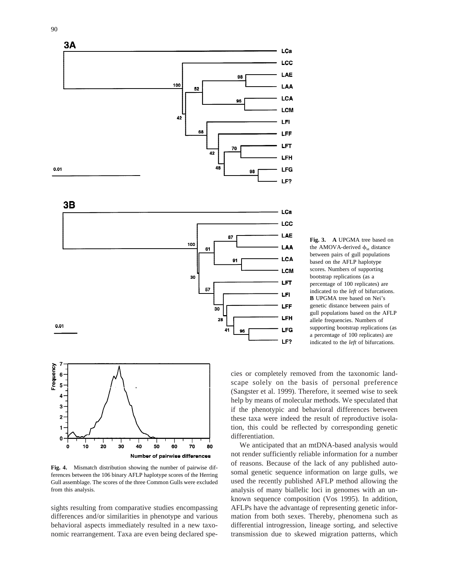



 $3B$ 



**Fig. 3. A** UPGMA tree based on the AMOVA-derived  $\phi_{st}$  distance between pairs of gull populations based on the AFLP haplotype scores. Numbers of supporting bootstrap replications (as a percentage of 100 replicates) are indicated to the *left* of bifurcations. **B** UPGMA tree based on Nei's genetic distance between pairs of gull populations based on the AFLP allele frequencies. Numbers of supporting bootstrap replications (as a percentage of 100 replicates) are indicated to the *left* of bifurcations.



**Fig. 4.** Mismatch distribution showing the number of pairwise differences between the 106 binary AFLP haplotype scores of the Herring Gull assemblage. The scores of the three Common Gulls were excluded from this analysis.

sights resulting from comparative studies encompassing differences and/or similarities in phenotype and various behavioral aspects immediately resulted in a new taxonomic rearrangement. Taxa are even being declared species or completely removed from the taxonomic landscape solely on the basis of personal preference (Sangster et al. 1999). Therefore, it seemed wise to seek help by means of molecular methods. We speculated that if the phenotypic and behavioral differences between these taxa were indeed the result of reproductive isolation, this could be reflected by corresponding genetic differentiation.

We anticipated that an mtDNA-based analysis would not render sufficiently reliable information for a number of reasons. Because of the lack of any published autosomal genetic sequence information on large gulls, we used the recently published AFLP method allowing the analysis of many biallelic loci in genomes with an unknown sequence composition (Vos 1995). In addition, AFLPs have the advantage of representing genetic information from both sexes. Thereby, phenomena such as differential introgression, lineage sorting, and selective transmission due to skewed migration patterns, which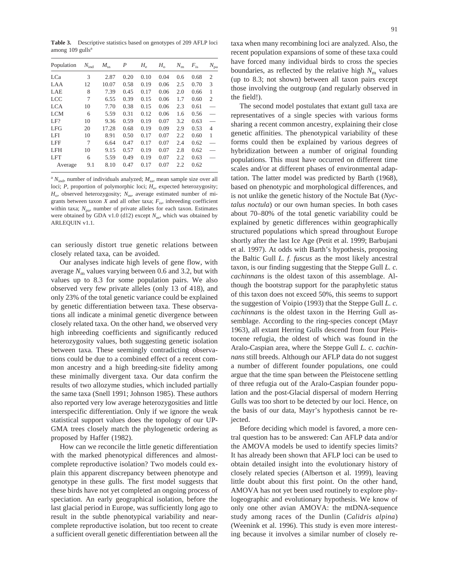**Table 3.** Descriptive statistics based on genotypes of 209 AFLP loci among  $109$  gulls<sup>a</sup>

| Population | $N_{\rm ind}$ | $M_{\rm ss}$ | P    | $H_{\rm e}$ | $H_{\alpha}$ | $N_{\rm m}$ | $F_{\rm is}$ | $N_{\rm pa}$ |
|------------|---------------|--------------|------|-------------|--------------|-------------|--------------|--------------|
| LCa        | 3             | 2.87         | 0.20 | 0.10        | 0.04         | 0.6         | 0.68         | 2            |
| LAA        | 12            | 10.07        | 0.58 | 0.19        | 0.06         | 2.5         | 0.70         | 3            |
| <b>LAE</b> | 8             | 7.39         | 0.45 | 0.17        | 0.06         | 2.0         | 0.66         | 1            |
| <b>LCC</b> | 7             | 6.55         | 0.39 | 0.15        | 0.06         | 1.7         | 0.60         | 2            |
| <b>LCA</b> | 10            | 7.70         | 0.38 | 0.15        | 0.06         | 2.3         | 0.61         |              |
| <b>LCM</b> | 6             | 5.59         | 0.31 | 0.12        | 0.06         | 1.6         | 0.56         |              |
| LF?        | 10            | 9.36         | 0.59 | 0.19        | 0.07         | 3.2         | 0.63         |              |
| LFG        | 20            | 17.28        | 0.68 | 0.19        | 0.09         | 2.9         | 0.53         | 4            |
| LFI        | 10            | 8.91         | 0.50 | 0.17        | 0.07         | 2.2         | 0.60         | 1            |
| <b>LFF</b> | 7             | 6.64         | 0.47 | 0.17        | 0.07         | 2.4         | 0.62         |              |
| <b>LFH</b> | 10            | 9.15         | 0.57 | 0.19        | 0.07         | 2.8         | 0.62         |              |
| <b>LFT</b> | 6             | 5.59         | 0.49 | 0.19        | 0.07         | 2.2         | 0.63         |              |
| Average    | 9.1           | 8.10         | 0.47 | 0.17        | 0.07         | 2.2         | 0.62         |              |

<sup>a</sup>  $N_{\text{ind}}$ , number of individuals analyzed;  $M_{\text{ss}}$ , mean sample size over all loci; *P*, proportion of polymorphic loci; *H<sub>e</sub>*, expected heterozygosity;  $H<sub>o</sub>$ , observed heterozygosity;  $N<sub>m</sub>$ , average estimated number of migrants between taxon *X* and all other taxa;  $F_{is}$ , indreading coefficient within taxa;  $N_{pa}$ , number of private alleles for each taxon. Estimates were obtained by GDA v1.0 (d12) except  $N<sub>m</sub>$ , which was obtained by ARLEQUIN v1.1.

can seriously distort true genetic relations between closely related taxa, can be avoided.

Our analyses indicate high levels of gene flow, with average  $N<sub>m</sub>$  values varying between 0.6 and 3.2, but with values up to 8.3 for some population pairs. We also observed very few private alleles (only 13 of 418), and only 23% of the total genetic variance could be explained by genetic differentiation between taxa. These observations all indicate a minimal genetic divergence between closely related taxa. On the other hand, we observed very high inbreeding coefficients and significantly reduced heterozygosity values, both suggesting genetic isolation between taxa. These seemingly contradicting observations could be due to a combined effect of a recent common ancestry and a high breeding-site fidelity among these minimally divergent taxa. Our data confirm the results of two allozyme studies, which included partially the same taxa (Snell 1991; Johnson 1985). These authors also reported very low average heterozygosities and little interspecific differentiation. Only if we ignore the weak statistical support values does the topology of our UP-GMA trees closely match the phylogenetic ordering as proposed by Haffer (1982).

How can we reconcile the little genetic differentiation with the marked phenotypical differences and almostcomplete reproductive isolation? Two models could explain this apparent discrepancy between phenotype and genotype in these gulls. The first model suggests that these birds have not yet completed an ongoing process of speciation. An early geographical isolation, before the last glacial period in Europe, was sufficiently long ago to result in the subtle phenotypical variability and nearcomplete reproductive isolation, but too recent to create a sufficient overall genetic differentiation between all the

taxa when many recombining loci are analyzed. Also, the recent population expansions of some of these taxa could have forced many individual birds to cross the species boundaries, as reflected by the relative high  $N<sub>m</sub>$  values (up to 8.3; not shown) between all taxon pairs except those involving the outgroup (and regularly observed in the field!).

The second model postulates that extant gull taxa are representatives of a single species with various forms sharing a recent common ancestry, explaining their close genetic affinities. The phenotypical variability of these forms could then be explained by various degrees of hybridization between a number of original founding populations. This must have occurred on different time scales and/or at different phases of environmental adaptation. The latter model was predicted by Barth (1968), based on phenotypic and morphological differences, and is not unlike the genetic history of the Noctule Bat (*Nyctalus noctula*) or our own human species. In both cases about 70–80% of the total genetic variability could be explained by genetic differences within geographically structured populations which spread throughout Europe shortly after the last Ice Age (Petit et al. 1999; Barbujani et al. 1997). At odds with Barth's hypothesis, proposing the Baltic Gull *L. f. fuscus* as the most likely ancestral taxon, is our finding suggesting that the Steppe Gull *L. c. cachinnans* is the oldest taxon of this assemblage. Although the bootstrap support for the paraphyletic status of this taxon does not exceed 50%, this seems to support the suggestion of Voipio (1993) that the Steppe Gull *L. c. cachinnans* is the oldest taxon in the Herring Gull assemblage. According to the ring-species concept (Mayr 1963), all extant Herring Gulls descend from four Pleistocene refugia, the oldest of which was found in the Aralo-Caspian area, where the Steppe Gull *L. c. cachinnans* still breeds. Although our AFLP data do not suggest a number of different founder populations, one could argue that the time span between the Pleistocene settling of three refugia out of the Aralo-Caspian founder population and the post-Glacial dispersal of modern Herring Gulls was too short to be detected by our loci. Hence, on the basis of our data, Mayr's hypothesis cannot be rejected.

Before deciding which model is favored, a more central question has to be answered: Can AFLP data and/or the AMOVA models be used to identify species limits? It has already been shown that AFLP loci can be used to obtain detailed insight into the evolutionary history of closely related species (Albertson et al. 1999), leaving little doubt about this first point. On the other hand, AMOVA has not yet been used routinely to explore phylogeographic and evolutionary hypothesis. We know of only one other avian AMOVA: the mtDNA-sequence study among races of the Dunlin (*Calidris alpina*) (Weenink et al. 1996). This study is even more interesting because it involves a similar number of closely re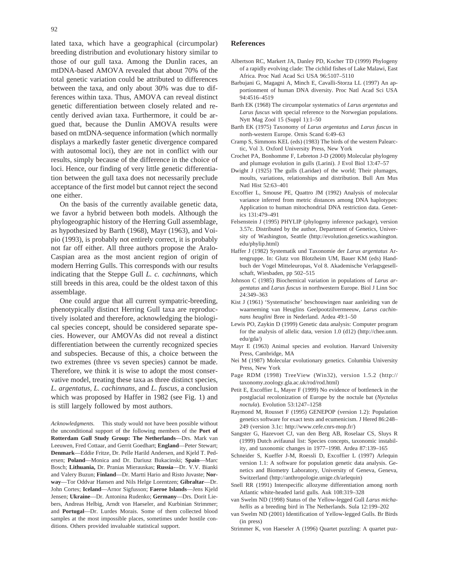lated taxa, which have a geographical (circumpolar) breeding distribution and evolutionary history similar to those of our gull taxa. Among the Dunlin races, an mtDNA-based AMOVA revealed that about 70% of the total genetic variation could be attributed to differences between the taxa, and only about 30% was due to differences within taxa. Thus, AMOVA can reveal distinct genetic differentiation between closely related and recently derived avian taxa. Furthermore, it could be argued that, because the Dunlin AMOVA results were based on mtDNA-sequence information (which normally displays a markedly faster genetic divergence compared with autosomal loci), they are not in conflict with our results, simply because of the difference in the choice of loci. Hence, our finding of very little genetic differentiation between the gull taxa does not necessarily preclude acceptance of the first model but cannot reject the second one either.

On the basis of the currently available genetic data, we favor a hybrid between both models. Although the phylogeographic history of the Herring Gull assemblage, as hypothesized by Barth (1968), Mayr (1963), and Voipio (1993), is probably not entirely correct, it is probably not far off either. All three authors propose the Aralo-Caspian area as the most ancient region of origin of modern Herring Gulls. This corresponds with our results indicating that the Steppe Gull *L. c. cachinnans,* which still breeds in this area, could be the oldest taxon of this assemblage.

One could argue that all current sympatric-breeding, phenotypically distinct Herring Gull taxa are reproductively isolated and therefore, acknowledging the biological species concept, should be considered separate species. However, our AMOVAs did not reveal a distinct differentiation between the currently recognized species and subspecies. Because of this, a choice between the two extremes (three vs seven species) cannot be made. Therefore, we think it is wise to adopt the most conservative model, treating these taxa as three distinct species, *L. argentatus, L. cachinnans,* and *L. fuscus,* a conclusion which was proposed by Haffer in 1982 (see Fig. 1) and is still largely followed by most authors.

*Acknowledgments.* This study would not have been possible without the unconditional support of the following members of the **Port of Rotterdam Gull Study Group: The Netherlands**—Drs. Mark van Leeuwen, Fred Cottaar, and Gerrit Goedhart; **England**—Peter Stewart; **Denmark**—Eddie Fritze, Dr. Pelle Harild Andersen, and Kjeld T. Pedersen; **Poland**—Monica and Dr. Dariusz Bukacinski; **Spain**—Marc Bosch; **Lithuania,** Dr. Pranias Mierauskas; **Russia**—Dr. V.V. Bianki and Valery Buzun; **Finland**—Dr. Martti Hario and Risto Juvaste; **Norway**—Tor Oddvar Hansen and Nils Helge Lorentzen; **Gibraltar**—Dr. John Cortes; **Iceland**—Arnor Sigfusson; **Faeroe Islands**—Jens Kjeld Jensen; **Ukraine**—Dr. Antonina Rudenko; **Germany**—Drs. Dorit Liebers, Andreas Helbig, Arndt von Haeseler, and Kurbinian Strimmer; and **Portugal**—Dr. Lurdes Morais. Some of them collected blood samples at the most impossible places, sometimes under hostile conditions. Others provided invaluable statistical support.

#### **References**

- Albertson RC, Markert JA, Danley PD, Kocher TD (1999) Phylogeny of a rapidly evolving clade: The cichlid fishes of Lake Malawi, East Africa. Proc Natl Acad Sci USA 96:5107–5110
- Barbujani G, Magagni A, Minch E, Cavalli-Storza LL (1997) An apportionment of human DNA diversity. Proc Natl Acad Sci USA 94:4516–4519
- Barth EK (1968) The circumpolar systematics of *Larus argentatus* and *Larus fuscus* with special reference to the Norwegian populations. Nytt Mag Zool 15 (Suppl 1):1–50
- Barth EK (1975) Taxonomy of *Larus argentatus* and *Larus fuscus* in north-western Europe. Ornis Scand 6:49–63
- Cramp S, Simmons KEL (eds) (1983) The birds of the western Palearctic, Vol 3. Oxford University Press, New York
- Crochet PA, Bonhomme F, Lebreton J-D (2000) Molecular phylogeny and plumage evolution in gulls (Larini). J Evol Biol 13:47–57
- Dwight J (1925) The gulls (Laridae) of the world; Their plumages, moults, variations, relationships and distribution. Bull Am Mus Natl Hist 52:63–401
- Excoffier L, Smouse PE, Quattro JM (1992) Analysis of molecular variance inferred from metric distances among DNA haplotypes: Application to human mitochondrial DNA restriction data. Genetics 131:479–491
- Felsenstein J (1995) PHYLIP (phylogeny inference package), version 3.57c. Distributed by the author, Department of Genetics, University of Washington, Seattle (http://evolution.genetics.washington. edu/phylip.html)
- Haffer J (1982) Systematik und Taxonomie der *Larus argentatus* Artengruppe. In: Glutz von Blotzheim UM, Bauer KM (eds) Handbuch der Vogel Mitteleuropas, Vol 8. Akademische Verlagsgesellschaft, Wiesbaden, pp 502–515
- Johnson C (1985) Biochemical variation in populations of *Larus argentatus* and *Larus fuscus* in northwestern Europe. Biol J Linn Soc 24:349–363
- Kist J (1961) 'Systematische' beschouwingen naar aanleiding van de waarneming van Heuglins Geelpootzilvermeeuw, *Larus cachinnans heuglini* Bree in Nederland. Ardea 49:1–50
- Lewis PO, Zaykin D (1999) Genetic data analysis: Computer program for the analysis of allelic data, version 1.0 (d12) (http://chee.unm. edu/gda/)
- Mayr E (1963) Animal species and evolution. Harvard University Press, Cambridge, MA
- Nei M (1987) Molecular evolutionary genetics. Columbia University Press, New York
- Page RDM (1998) TreeView (Win32), version 1.5.2 (http:// taxonomy.zoology.gla.ac.uk/rod/rod.html)
- Petit E, Excoffier L, Mayer F (1999) No evidence of bottleneck in the postglacial recolonization of Europe by the noctule bat (*Nyctalus noctula*). Evolution 53:1247–1258
- Raymond M, Rousset F (1995) GENEPOP (version 1.2): Population genetics software for exact tests and ecumenicism. J Hered 86:248– 249 (version 3.1c: http://www.cefe.cnrs-mop.fr/)
- Sangster G, Hazevoet CJ, van den Berg AB, Roselaar CS, Sluys R (1999) Dutch avifaunal list: Species concepts, taxonomic instability, and taxonomic changes in 1977–1998. Ardea 87:139–165
- Schneider S, Kueffer J-M, Roessli D, Excoffier L (1997) Arlequin version 1.1: A software for population genetic data analysis. Genetics and Biometry Laboratory, University of Geneva, Geneva, Switzerland (http://anthropologie.unige.ch/arlequin)
- Snell RR (1991) Interspecific allozyme differentiation among north Atlantic white-headed larid gulls. Auk 108:319–328
- van Swelm ND (1998) Status of the Yellow-legged Gull *Larus michahellis* as a breeding bird in The Netherlands. Sula 12:199–202
- van Swelm ND (2001) Identification of Yellow-legged Gulls. Br Birds (in press)
- Strimmer K, von Haeseler A (1996) Quartet puzzling: A quartet puz-